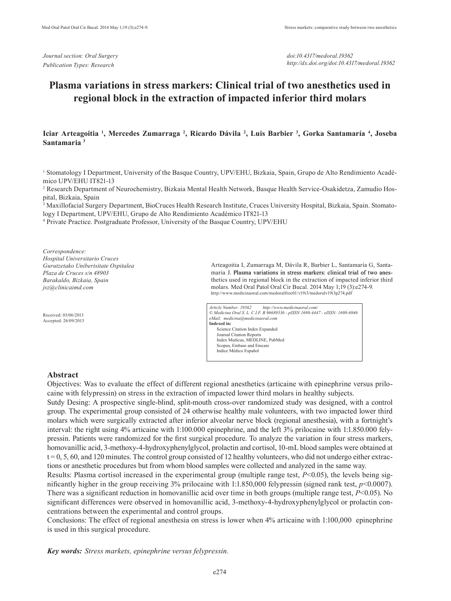*Journal section: Oral Surgery Publication Types: Research*

*doi:10.4317/medoral.19362 http://dx.doi.org/doi:10.4317/medoral.19362*

# **Plasma variations in stress markers: Clinical trial of two anesthetics used in regional block in the extraction of impacted inferior third molars**

## **Iciar Arteagoitia 1 , Mercedes Zumarraga 2 , Ricardo Dávila 2 , Luis Barbier 3 , Gorka Santamaría 4 , Joseba Santamaria 3**

1 Stomatology I Department, University of the Basque Country, UPV/EHU, Bizkaia, Spain, Grupo de Alto Rendimiento Académico UPV/EHU IT821-13

2 Research Department of Neurochemistry, Bizkaia Mental Health Network, Basque Health Service-Osakidetza, Zamudio Hospital, Bizkaia, Spain

3 Maxillofacial Surgery Department, BioCruces Health Research Institute, Cruces University Hospital, Bizkaia, Spain. Stomatology I Department, UPV/EHU, Grupo de Alto Rendimiento Académico IT821-13

4 Private Practice. Postgraduate Professor, University of the Basque Country, UPV/EHU

*Correspondence: Hospital Universitario Cruces Gurutzetako Unibertsitate Ospitalea Plaza de Cruces s/n 48903 Barakaldo, Bizkaia, Spain jsz@clinicaimd.com*

Received: 03/06/2013 Accepted: 26/09/2013 Arteagoitia I, Zumarraga M, Dávila R, Barbier L, Santamaría G, Santamaria J. Plasma variations in stress markers: clinical trial of two anesthetics used in regional block in the extraction of impacted inferior third molars. Med Oral Patol Oral Cir Bucal. 2014 May 1;19 (3):e274-9. http://www.medicinaoral.com/medoralfree01/v19i3/medoralv19i3p274.pdf

*Article Number: 19362 http://www.medicinaoral.com/ © Medicina Oral S. L. C.I.F. B 96689336 - pISSN 1698-4447 - eISSN: 1698-6946 eMail: medicina@medicinaoral.com*  **Indexed in:**  Science Citation Index Expanded Journal Citation Reports Index Medicus, MEDLINE, PubMed Scopus, Embase and Emcare Indice Médico Español

#### **Abstract**

Objectives: Was to evaluate the effect of different regional anesthetics (articaine with epinephrine versus prilocaine with felypressin) on stress in the extraction of impacted lower third molars in healthy subjects.

Sutdy Desing: A prospective single-blind, split-mouth cross-over randomized study was designed, with a control group. The experimental group consisted of 24 otherwise healthy male volunteers, with two impacted lower third molars which were surgically extracted after inferior alveolar nerve block (regional anesthesia), with a fortnight's interval: the right using 4% articaine with 1:100.000 epinephrine, and the left 3% prilocaine with 1:1.850.000 felypressin. Patients were randomized for the first surgical procedure. To analyze the variation in four stress markers, homovanillic acid, 3-methoxy-4-hydroxyphenylglycol, prolactin and cortisol, 10-mL blood samples were obtained at  $t = 0, 5, 60$ , and 120 minutes. The control group consisted of 12 healthy volunteers, who did not undergo either extractions or anesthetic procedures but from whom blood samples were collected and analyzed in the same way.

Results: Plasma cortisol increased in the experimental group (multiple range test, *P*<0.05), the levels being significantly higher in the group receiving 3% prilocaine with 1:1.850,000 felypressin (signed rank test, *p*<0.0007). There was a significant reduction in homovanillic acid over time in both groups (multiple range test, *P*<0.05). No significant differences were observed in homovanillic acid, 3-methoxy-4-hydroxyphenylglycol or prolactin concentrations between the experimental and control groups.

Conclusions: The effect of regional anesthesia on stress is lower when 4% articaine with 1:100,000 epinephrine is used in this surgical procedure.

*Key words: Stress markets, epinephrine versus felypressin.*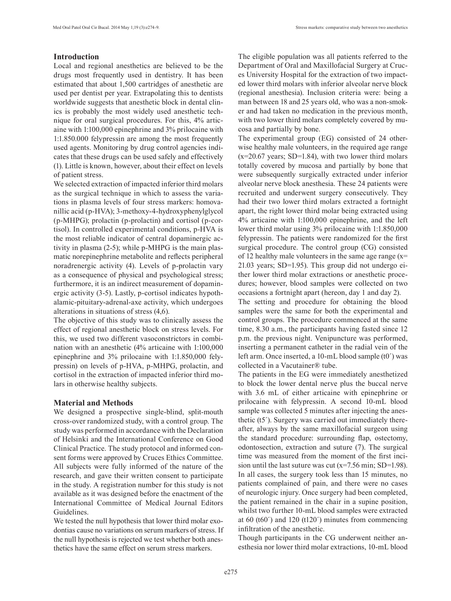## **Introduction**

Local and regional anesthetics are believed to be the drugs most frequently used in dentistry. It has been estimated that about 1,500 cartridges of anesthetic are used per dentist per year. Extrapolating this to dentists worldwide suggests that anesthetic block in dental clinics is probably the most widely used anesthetic technique for oral surgical procedures. For this, 4% articaine with 1:100,000 epinephrine and 3% prilocaine with 1:1.850.000 felypressin are among the most frequently used agents. Monitoring by drug control agencies indicates that these drugs can be used safely and effectively (1). Little is known, however, about their effect on levels of patient stress.

We selected extraction of impacted inferior third molars as the surgical technique in which to assess the variations in plasma levels of four stress markers: homovanillic acid (p-HVA); 3-methoxy-4-hydroxyphenylglycol (p-MHPG); prolactin (p-prolactin) and cortisol (p-cortisol). In controlled experimental conditions, p-HVA is the most reliable indicator of central dopaminergic activity in plasma (2-5); while p-MHPG is the main plasmatic norepinephrine metabolite and reflects peripheral noradrenergic activity (4). Levels of p-prolactin vary as a consequence of physical and psychological stress; furthermore, it is an indirect measurement of dopaminergic activity (3-5). Lastly, p-cortisol indicates hypothalamic-pituitary-adrenal-axe activity, which undergoes alterations in situations of stress (4,6).

The objective of this study was to clinically assess the effect of regional anesthetic block on stress levels. For this, we used two different vasoconstrictors in combination with an anesthetic (4% articaine with 1:100,000 epinephrine and 3% prilocaine with 1:1.850,000 felypressin) on levels of p-HVA, p-MHPG, prolactin, and cortisol in the extraction of impacted inferior third molars in otherwise healthy subjects.

#### **Material and Methods**

We designed a prospective single-blind, split-mouth cross-over randomized study, with a control group. The study was performed in accordance with the Declaration of Helsinki and the International Conference on Good Clinical Practice. The study protocol and informed consent forms were approved by Cruces Ethics Committee. All subjects were fully informed of the nature of the research, and gave their written consent to participate in the study. A registration number for this study is not available as it was designed before the enactment of the International Committee of Medical Journal Editors Guidelines.

We tested the null hypothesis that lower third molar exodontias cause no variations on serum markers of stress. If the null hypothesis is rejected we test whether both anesthetics have the same effect on serum stress markers.

The eligible population was all patients referred to the Department of Oral and Maxillofacial Surgery at Cruces University Hospital for the extraction of two impacted lower third molars with inferior alveolar nerve block (regional anesthesia). Inclusion criteria were: being a man between 18 and 25 years old, who was a non-smoker and had taken no medication in the previous month, with two lower third molars completely covered by mucosa and partially by bone.

The experimental group (EG) consisted of 24 otherwise healthy male volunteers, in the required age range  $(x=20.67 \text{ years}; SD=1.84)$ , with two lower third molars totally covered by mucosa and partially by bone that were subsequently surgically extracted under inferior alveolar nerve block anesthesia. These 24 patients were recruited and underwent surgery consecutively. They had their two lower third molars extracted a fortnight apart, the right lower third molar being extracted using 4% articaine with 1:100,000 epinephrine, and the left lower third molar using 3% prilocaine with 1:1.850,000 felypressin. The patients were randomized for the first surgical procedure. The control group (CG) consisted of 12 healthy male volunteers in the same age range  $(x=$ 21.03 years; SD=1.95). This group did not undergo either lower third molar extractions or anesthetic procedures; however, blood samples were collected on two occasions a fortnight apart (hereon, day 1 and day 2).

The setting and procedure for obtaining the blood samples were the same for both the experimental and control groups. The procedure commenced at the same time, 8.30 a.m., the participants having fasted since 12 p.m. the previous night. Venipuncture was performed, inserting a permanent catheter in the radial vein of the left arm. Once inserted, a 10-mL blood sample (t0´) was collected in a Vacutainer® tube.

The patients in the EG were immediately anesthetized to block the lower dental nerve plus the buccal nerve with 3.6 mL of either articaine with epinephrine or prilocaine with felypressin. A second 10-mL blood sample was collected 5 minutes after injecting the anesthetic (t5´). Surgery was carried out immediately thereafter, always by the same maxillofacial surgeon using the standard procedure: surrounding flap, ostectomy, odontosection, extraction and suture (7). The surgical time was measured from the moment of the first incision until the last suture was cut  $(x=7.56 \text{ min}; SD=1.98)$ . In all cases, the surgery took less than 15 minutes, no patients complained of pain, and there were no cases of neurologic injury. Once surgery had been completed, the patient remained in the chair in a supine position, whilst two further 10-mL blood samples were extracted at 60 (t60´) and 120 (t120´) minutes from commencing infiltration of the anesthetic.

Though participants in the CG underwent neither anesthesia nor lower third molar extractions, 10-mL blood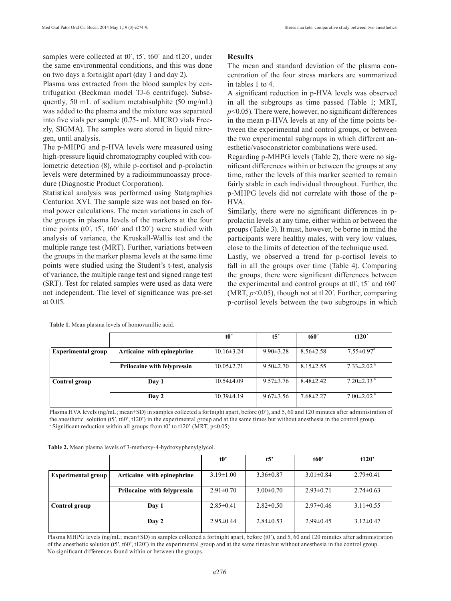samples were collected at t0', t5', t60' and t120', under the same environmental conditions, and this was done on two days a fortnight apart (day 1 and day 2).

Plasma was extracted from the blood samples by centrifugation (Beckman model TJ-6 centrifuge). Subsequently, 50 mL of sodium metabisulphite (50 mg/mL) was added to the plasma and the mixture was separated into five vials per sample (0.75- mL MICRO vials Freezly, SIGMA). The samples were stored in liquid nitrogen, until analysis.

The p-MHPG and p-HVA levels were measured using high-pressure liquid chromatography coupled with coulometric detection (8), while p-cortisol and p-prolactin levels were determined by a radioimmunoassay procedure (Diagnostic Product Corporation).

Statistical analysis was performed using Statgraphics Centurion XVI. The sample size was not based on formal power calculations. The mean variations in each of the groups in plasma levels of the markers at the four time points  $(t0', t5', t60'$  and  $t120')$  were studied with analysis of variance, the Kruskall-Wallis test and the multiple range test (MRT). Further, variations between the groups in the marker plasma levels at the same time points were studied using the Student's t-test, analysis of variance, the multiple range test and signed range test (SRT). Test for related samples were used as data were not independent. The level of significance was pre-set at 0.05.

### **Results**

The mean and standard deviation of the plasma concentration of the four stress markers are summarized in tables 1 to 4.

A significant reduction in p-HVA levels was observed in all the subgroups as time passed (Table 1; MRT,  $p$ <0.05). There were, however, no significant differences in the mean p-HVA levels at any of the time points between the experimental and control groups, or between the two experimental subgroups in which different anesthetic/vasoconstrictor combinations were used.

Regarding p-MHPG levels (Table 2), there were no significant differences within or between the groups at any time, rather the levels of this marker seemed to remain fairly stable in each individual throughout. Further, the p-MHPG levels did not correlate with those of the p-HVA.

Similarly, there were no significant differences in pprolactin levels at any time, either within or between the groups (Table 3). It must, however, be borne in mind the participants were healthy males, with very low values, close to the limits of detection of the technique used.

Lastly, we observed a trend for p-cortisol levels to fall in all the groups over time (Table 4). Comparing the groups, there were significant differences between the experimental and control groups at t0´, t5´ and t60´ (MRT, *p*<0.05), though not at t120´. Further, comparing p-cortisol levels between the two subgroups in which

|                           |                                    | t0'              | t5'             | t60'            | t120'                        |
|---------------------------|------------------------------------|------------------|-----------------|-----------------|------------------------------|
| <b>Experimental group</b> | Articaine with epinephrine         | $10.16 \pm 3.24$ | $9.90 \pm 3.28$ | $8.56 \pm 2.58$ | $7.55 \pm 0.97$ <sup>a</sup> |
|                           | <b>Prilocaine with felypressin</b> | $10.05 \pm 2.71$ | $9.50 \pm 2.70$ | $8.15 \pm 2.55$ | $7.33 \pm 2.02$ <sup>a</sup> |
| Control group             | Day 1                              | $10.54\pm4.09$   | $9.57 \pm 3.76$ | $8.48 \pm 2.42$ | $7.20 \pm 2.33$ <sup>a</sup> |
|                           | Day 2                              | $10.39 \pm 4.19$ | $9.67 \pm 3.56$ | $7.68 \pm 2.27$ | $7.00 \pm 2.02$ <sup>a</sup> |

**Table 1.** Mean plasma levels of homovanillic acid.

Plasma HVA levels (ng/mL; mean+SD) in samples collected a fortnight apart, before (t0'), and 5, 60 and 120 minutes after administration of the anesthetic solution (t5', t60', t120') in the experimental group and at the same times but without anesthesia in the control group. <sup>a</sup> Significant reduction within all groups from t0' to t120' (MRT, p<0.05).

|                           |                             | t0              | t5'             | t60'            | t120'           |
|---------------------------|-----------------------------|-----------------|-----------------|-----------------|-----------------|
| <b>Experimental group</b> | Articaine with epinephrine  | $3.19 \pm 1.00$ | $3.36\pm0.87$   | $3.01 \pm 0.84$ | $2.79 \pm 0.41$ |
|                           | Prilocaine with felypressin | $2.91 \pm 0.70$ | $3.00\pm0.70$   | $2.93 \pm 0.71$ | $2.74\pm 0.63$  |
| Control group             | Day 1                       | $2.85 \pm 0.41$ | $2.82 \pm 0.50$ | $2.97\pm0.46$   | $3.11 \pm 0.55$ |
|                           | Day 2                       | $2.95 \pm 0.44$ | $2.84\pm 0.53$  | $2.99 \pm 0.45$ | $3.12 \pm 0.47$ |

**Table 2.** Mean plasma levels of 3-methoxy-4-hydroxyphenylglycol.

Plasma MHPG levels (ng/mL; mean+SD) in samples collected a fortnight apart, before (t0'), and 5, 60 and 120 minutes after administration of the anesthetic solution (t5', t60', t120') in the experimental group and at the same times but without anesthesia in the control group. No significant differences found within or between the groups.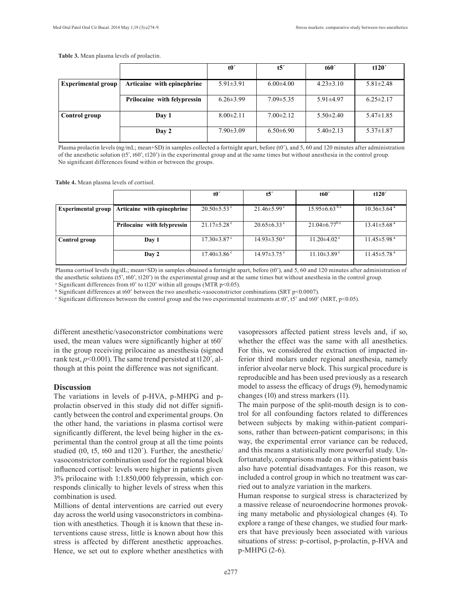**Table 3.** Mean plasma levels of prolactin.

|                           |                             | t0'             | t5'             | t60'            | t120'           |
|---------------------------|-----------------------------|-----------------|-----------------|-----------------|-----------------|
| <b>Experimental group</b> | Articaine with epinephrine  | $5.91 \pm 3.91$ | $6.00\pm4.00$   | $4.23 \pm 3.10$ | $5.81 \pm 2.48$ |
|                           | Prilocaine with felypressin | $6.26 \pm 3.99$ | $7.09 \pm 5.35$ | $5.91 \pm 4.97$ | $6.25 \pm 2.17$ |
| Control group             | Day 1                       | $8.00 \pm 2.11$ | $7.00 \pm 2.12$ | $5.50 \pm 2.40$ | $5.47 \pm 1.85$ |
|                           | Day 2                       | $7.90 \pm 3.09$ | $6.50\pm6.90$   | $5.40\pm2.13$   | $5.37 \pm 1.87$ |

Plasma prolactin levels (ng/mL; mean+SD) in samples collected a fortnight apart, before (t0'), and 5, 60 and 120 minutes after administration of the anesthetic solution (t5', t60', t120') in the experimental group and at the same times but without anesthesia in the control group. No significant differences found within or between the groups.

**Table 4.** Mean plasma levels of cortisol.

|                           |                             | t <sub>0</sub>                | t5'                | t60'                           | t120'                         |
|---------------------------|-----------------------------|-------------------------------|--------------------|--------------------------------|-------------------------------|
| <b>Experimental group</b> | Articaine with epinephrine  | $20.50 \pm 5.53$ °            | $21.46 \pm 5.99$ ° | $15.95 \pm 6.63$ <sup>bc</sup> | $10.36 \pm 3.64$ <sup>a</sup> |
|                           | Prilocaine with felypressin | $21.17\pm5.28$ <sup>c</sup>   | $20.65 \pm 6.33$ ° | $21.04 \pm 6.77$ <sup>bc</sup> | $13.41 \pm 5.68$ <sup>a</sup> |
| Control group             | Day 1                       | $17.30 \pm 3.87$ <sup>c</sup> | $14.93 \pm 3.50$ ° | $11.20\pm4.02$ <sup>c</sup>    | $11.45 \pm 5.98$ <sup>a</sup> |
|                           | Day 2                       | $17.40\pm3.86$ <sup>c</sup>   | $14.97 \pm 3.75$ ° | $11.10\pm3.89^{\circ}$         | $11.45 \pm 5.78$ <sup>a</sup> |

Plasma cortisol levels (ng/dL; mean+SD) in samples obtained a fortnight apart, before (t0'), and 5, 60 and 120 minutes after administration of the anesthetic solutions (t5', t60', t120') in the experimental group and at the same times but without anesthesia in the control group. <sup>a</sup> Significant differences from t0' to t120' within all groups (MTR p<0.05).

<sup>b</sup> Significant differences at t60' between the two anesthetic-vasoconstrictor combinations (SRT p<0.0007).

Significant differences between the control group and the two experimental treatments at t0', t5' and t60' (MRT,  $p$ <0.05).

different anesthetic/vasoconstrictor combinations were used, the mean values were significantly higher at t60´ in the group receiving prilocaine as anesthesia (signed rank test,  $p$ <0.001). The same trend persisted at t120<sup>'</sup>, although at this point the difference was not significant.

#### **Discussion**

The variations in levels of p-HVA, p-MHPG and pprolactin observed in this study did not differ significantly between the control and experimental groups. On the other hand, the variations in plasma cortisol were significantly different, the level being higher in the experimental than the control group at all the time points studied (t0, t5, t60 and t120´). Further, the anesthetic/ vasoconstrictor combination used for the regional block influenced cortisol: levels were higher in patients given 3% prilocaine with 1:1.850,000 felypressin, which corresponds clinically to higher levels of stress when this combination is used.

Millions of dental interventions are carried out every day across the world using vasoconstrictors in combination with anesthetics. Though it is known that these interventions cause stress, little is known about how this stress is affected by different anesthetic approaches. Hence, we set out to explore whether anesthetics with vasopressors affected patient stress levels and, if so, whether the effect was the same with all anesthetics. For this, we considered the extraction of impacted inferior third molars under regional anesthesia, namely inferior alveolar nerve block. This surgical procedure is reproducible and has been used previously as a research model to assess the efficacy of drugs (9), hemodynamic changes (10) and stress markers (11).

The main purpose of the split-mouth design is to control for all confounding factors related to differences between subjects by making within-patient comparisons, rather than between-patient comparisons; in this way, the experimental error variance can be reduced, and this means a statistically more powerful study. Unfortunately, comparisons made on a within-patient basis also have potential disadvantages. For this reason, we included a control group in which no treatment was carried out to analyze variation in the markers.

Human response to surgical stress is characterized by a massive release of neuroendocrine hormones provoking many metabolic and physiological changes (4). To explore a range of these changes, we studied four markers that have previously been associated with various situations of stress: p-cortisol, p-prolactin, p-HVA and p-MHPG (2-6).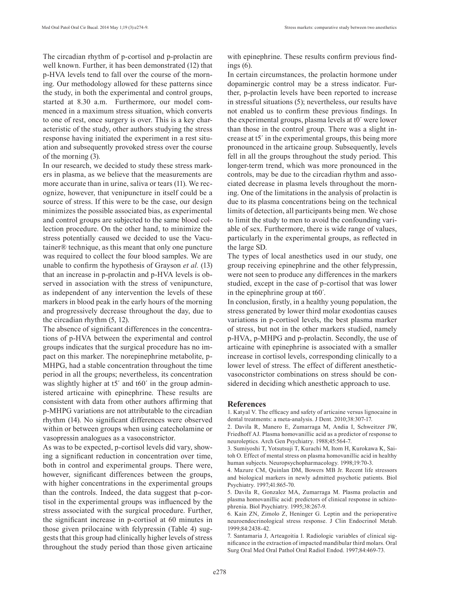The circadian rhythm of p-cortisol and p-prolactin are well known. Further, it has been demonstrated (12) that p-HVA levels tend to fall over the course of the morning. Our methodology allowed for these patterns since the study, in both the experimental and control groups, started at 8.30 a.m. Furthermore, our model commenced in a maximum stress situation, which converts to one of rest, once surgery is over. This is a key characteristic of the study, other authors studying the stress response having initiated the experiment in a rest situation and subsequently provoked stress over the course of the morning (3).

In our research, we decided to study these stress markers in plasma, as we believe that the measurements are more accurate than in urine, saliva or tears (11). We recognize, however, that venipuncture in itself could be a source of stress. If this were to be the case, our design minimizes the possible associated bias, as experimental and control groups are subjected to the same blood collection procedure. On the other hand, to minimize the stress potentially caused we decided to use the Vacutainer® technique, as this meant that only one puncture was required to collect the four blood samples. We are unable to confirm the hypothesis of Grayson *et al.* (13) that an increase in p-prolactin and p-HVA levels is observed in association with the stress of venipuncture, as independent of any intervention the levels of these markers in blood peak in the early hours of the morning and progressively decrease throughout the day, due to the circadian rhythm (5, 12).

The absence of significant differences in the concentrations of p-HVA between the experimental and control groups indicates that the surgical procedure has no impact on this marker. The norepinephrine metabolite, p-MHPG, had a stable concentration throughout the time period in all the groups; nevertheless, its concentration was slightly higher at t5<sup>'</sup> and t60<sup>'</sup> in the group administered articaine with epinephrine. These results are consistent with data from other authors affirming that p-MHPG variations are not attributable to the circadian rhythm (14). No significant differences were observed within or between groups when using catecholamine or vasopressin analogues as a vasoconstrictor.

As was to be expected, p-cortisol levels did vary, showing a significant reduction in concentration over time, both in control and experimental groups. There were, however, significant differences between the groups, with higher concentrations in the experimental groups than the controls. Indeed, the data suggest that p-cortisol in the experimental groups was influenced by the stress associated with the surgical procedure. Further, the significant increase in p-cortisol at 60 minutes in those given prilocaine with felypressin (Table 4) suggests that this group had clinically higher levels of stress throughout the study period than those given articaine with epinephrine. These results confirm previous findings (6).

In certain circumstances, the prolactin hormone under dopaminergic control may be a stress indicator. Further, p-prolactin levels have been reported to increase in stressful situations (5); nevertheless, our results have not enabled us to confirm these previous findings. In the experimental groups, plasma levels at t0´ were lower than those in the control group. There was a slight increase at t5´ in the experimental groups, this being more pronounced in the articaine group. Subsequently, levels fell in all the groups throughout the study period. This longer-term trend, which was more pronounced in the controls, may be due to the circadian rhythm and associated decrease in plasma levels throughout the morning. One of the limitations in the analysis of prolactin is due to its plasma concentrations being on the technical limits of detection, all participants being men. We chose to limit the study to men to avoid the confounding variable of sex. Furthermore, there is wide range of values, particularly in the experimental groups, as reflected in the large SD.

The types of local anesthetics used in our study, one group receiving epinephrine and the other felypressin, were not seen to produce any differences in the markers studied, except in the case of p-cortisol that was lower in the epinephrine group at t60´.

In conclusion, firstly, in a healthy young population, the stress generated by lower third molar exodontias causes variations in p-cortisol levels, the best plasma marker of stress, but not in the other markers studied, namely p-HVA, p-MHPG and p-prolactin. Secondly, the use of articaine with epinephrine is associated with a smaller increase in cortisol levels, corresponding clinically to a lower level of stress. The effect of different anestheticvasoconstrictor combinations on stress should be considered in deciding which anesthetic approach to use.

#### **References**

1. Katyal V. The efficacy and safety of articaine versus lignocaine in dental treatments: a meta-analysis. J Dent. 2010;38:307-17.

2. Davila R, Manero E, Zumarraga M, Andia I, Schweitzer JW, Friedhoff AJ. Plasma homovanillic acid as a predictor of response to neuroleptics. Arch Gen Psychiatry. 1988;45:564-7.

3. Sumiyoshi T, Yotsutsuji T, Kurachi M, Itom H, Kurokawa K, Saitoh O. Effect of mental stress on plasma homovanillic acid in healthy human subjects. Neuropsychopharmacology. 1998;19:70-3.

4. Mazure CM, Quinlan DM, Bowers MB Jr. Recent life stressors and biological markers in newly admitted psychotic patients. Biol Psychiatry. 1997;41:865-70.

5. Davila R, Gonzalez MA, Zumarraga M. Plasma prolactin and plasma homovanillic acid: predictors of clinical response in schizophrenia. Biol Psychiatry. 1995;38:267-9.

6. Kain ZN, Zimolo Z, Heninger G. Leptin and the perioperative neuroendocrinological stress response. J Clin Endocrinol Metab. 1999;84:2438-42.

7. Santamaria J, Arteagoitia I. Radiologic variables of clinical significance in the extraction of impacted mandibular third molars. Oral Surg Oral Med Oral Pathol Oral Radiol Endod. 1997;84:469-73.